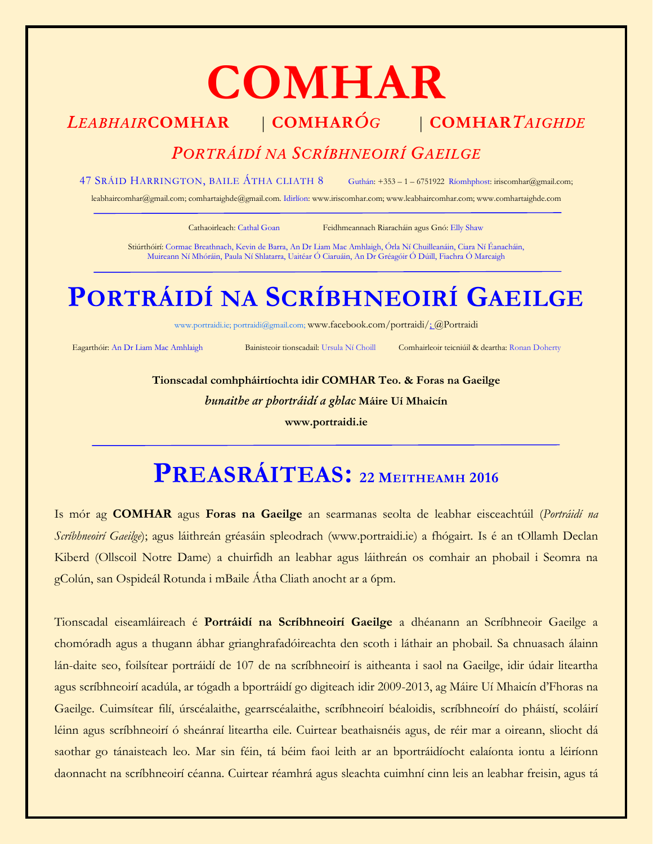# **COMHAR**

### *LEABHAIR***COMHAR** | **COMHAR***ÓG* | **COMHAR***TAIGHDE*

### *PORTRÁIDÍ NA SCRÍBHNEOIRÍ GAEILGE*

47 SRÁID HARRINGTON, BAILE ÁTHA CLIATH 8 Guthán: +353 – 1 – 6751922 Ríomhphost[: iriscomhar@gmail.com;](mailto:iriscomhar@gmail.com) 

[leabhaircomhar@gmail.com;](mailto:leabhaircomhar@gmail.com) comhartaighde@gmail.com. Idirlíon[: www.iriscomhar.com;](http://www.iriscomhar.com/) [www.leabhaircomhar.com;](http://www.leabhaircomhar.com/) www.comhartaighde.com

Cathaoirleach: Cathal Goan Feidhmeannach Riaracháin agus Gnó: Elly Shaw

Stiúrthóirí: Cormac Breathnach, Kevin de Barra, An Dr Liam Mac Amhlaigh, Órla Ní Chuilleanáin, Ciara Ní Éanacháin, Muireann Ní Mhóráin, Paula Ní Shlatarra, Uaitéar Ó Ciaruáin, An Dr Gréagóir Ó Dúill, Fiachra Ó Marcaigh

# **PORTRÁIDÍ NA SCRÍBHNEOIRÍ GAEILGE**

[www.portraidi.ie](http://www.portraidi./); [portraidi@gmail.com;](mailto:portraidi@gmail.com) [www.facebook.com/portraidi/;](http://www.facebook.com/portraidi/) @Portraidi

Eagarthóir: An Dr Liam Mac Amhlaigh Bainisteoir tionscadail: Ursula Ní Choill Comhairleoir teicniúil & deartha: Ronan Doherty

**Tionscadal comhpháirtíochta idir COMHAR Teo. & Foras na Gaeilge** *bunaithe ar phortráidí a ghlac* **Máire Uí Mhaicín [www.portraidi.ie](http://www.portraidi.ie/)**

## **PREASRÁITEAS: <sup>22</sup> <sup>M</sup>EITHEAMH <sup>2016</sup>**

Is mór ag **COMHAR** agus **Foras na Gaeilge** an searmanas seolta de leabhar eisceachtúil (*Portráidí na Scríbhneoirí Gaeilge*); agus láithreán gréasáin spleodrach [\(www.portraidi.ie\)](http://www.portraidi.ie/) a fhógairt. Is é an tOllamh Declan Kiberd (Ollscoil Notre Dame) a chuirfidh an leabhar agus láithreán os comhair an phobail i Seomra na gColún, san Ospideál Rotunda i mBaile Átha Cliath anocht ar a 6pm.

Tionscadal eiseamláireach é **Portráidí na Scríbhneoirí Gaeilge** a dhéanann an Scríbhneoir Gaeilge a chomóradh agus a thugann ábhar grianghrafadóireachta den scoth i láthair an phobail. Sa chnuasach álainn lán-daite seo, foilsítear portráidí de 107 de na scríbhneoirí is aitheanta i saol na Gaeilge, idir údair liteartha agus scríbhneoirí acadúla, ar tógadh a bportráidí go digiteach idir 2009-2013, ag Máire Uí Mhaicín d'Fhoras na Gaeilge. Cuimsítear filí, úrscéalaithe, gearrscéalaithe, scríbhneoirí béaloidis, scríbhneoírí do pháistí, scoláirí léinn agus scríbhneoirí ó sheánraí liteartha eile. Cuirtear beathaisnéis agus, de réir mar a oireann, sliocht dá saothar go tánaisteach leo. Mar sin féin, tá béim faoi leith ar an bportráidíocht ealaíonta iontu a léiríonn daonnacht na scríbhneoirí céanna. Cuirtear réamhrá agus sleachta cuimhní cinn leis an leabhar freisin, agus tá